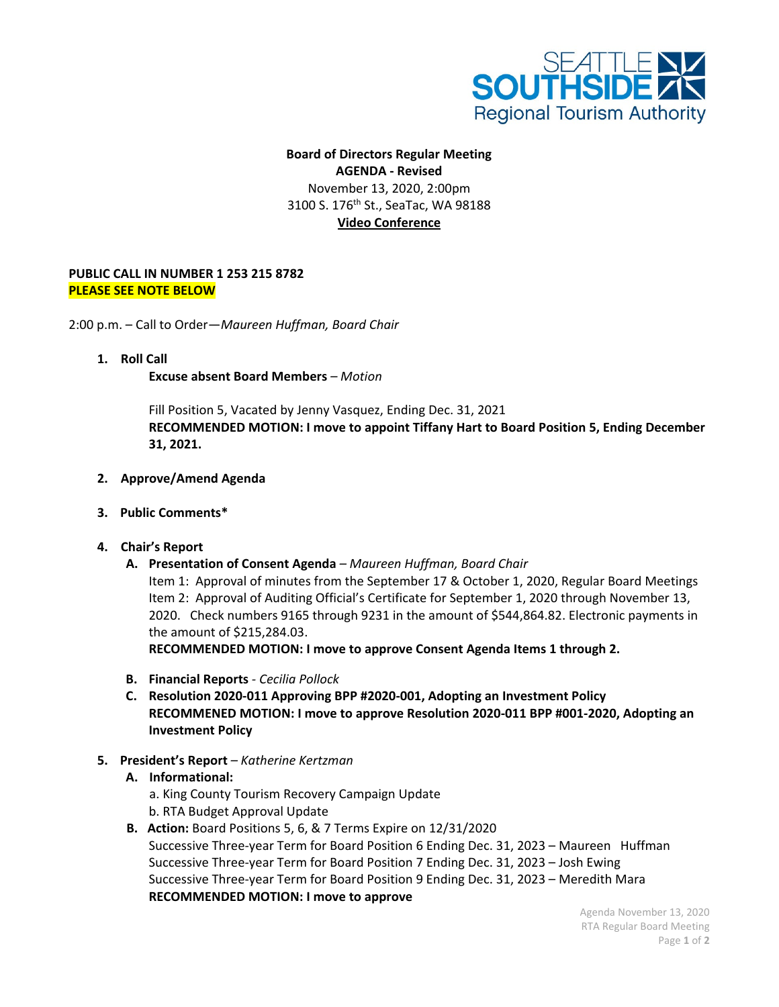

# **Board of Directors Regular Meeting AGENDA - Revised** November 13, 2020, 2:00pm 3100 S. 176<sup>th</sup> St., SeaTac, WA 98188 **Video Conference**

### **PUBLIC CALL IN NUMBER 1 253 215 8782 PLEASE SEE NOTE BELOW**

2:00 p.m. – Call to Order—*Maureen Huffman, Board Chair*

**1. Roll Call**

**Excuse absent Board Members** *– Motion*

Fill Position 5, Vacated by Jenny Vasquez, Ending Dec. 31, 2021 **RECOMMENDED MOTION: I move to appoint Tiffany Hart to Board Position 5, Ending December 31, 2021.**

#### **2. Approve/Amend Agenda**

- **3. Public Comments\***
- **4. Chair's Report**
	- **A. Presentation of Consent Agenda** *– Maureen Huffman, Board Chair*

Item 1: Approval of minutes from the September 17 & October 1, 2020, Regular Board Meetings Item 2: Approval of Auditing Official's Certificate for September 1, 2020 through November 13, 2020. Check numbers 9165 through 9231 in the amount of \$544,864.82. Electronic payments in the amount of \$215,284.03.

**RECOMMENDED MOTION: I move to approve Consent Agenda Items 1 through 2.**

- **B. Financial Reports** *- Cecilia Pollock*
- **C. Resolution 2020-011 Approving BPP #2020-001, Adopting an Investment Policy RECOMMENED MOTION: I move to approve Resolution 2020-011 BPP #001-2020, Adopting an Investment Policy**
- **5. President's Report** *– Katherine Kertzman*

## **A. Informational:**

- a. King County Tourism Recovery Campaign Update b. RTA Budget Approval Update
- **B. Action:** Board Positions 5, 6, & 7 Terms Expire on 12/31/2020 Successive Three-year Term for Board Position 6 Ending Dec. 31, 2023 – Maureen Huffman Successive Three-year Term for Board Position 7 Ending Dec. 31, 2023 – Josh Ewing Successive Three-year Term for Board Position 9 Ending Dec. 31, 2023 – Meredith Mara **RECOMMENDED MOTION: I move to approve**

Agenda November 13, 2020 RTA Regular Board Meeting Page **1** of **2**